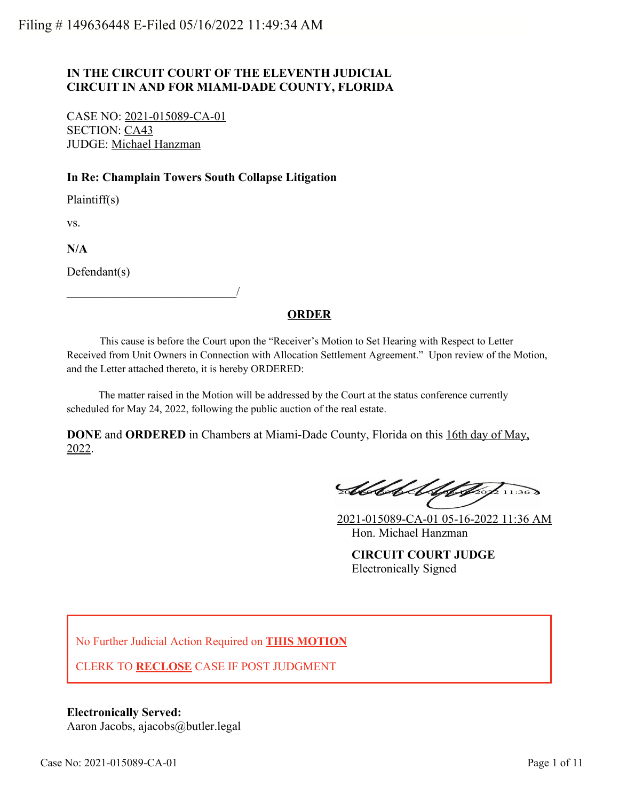## **IN THE CIRCUIT COURT OF THE ELEVENTH JUDICIAL CIRCUIT IN AND FOR MIAMI-DADE COUNTY, FLORIDA**

CASE NO: 2021-015089-CA-01 SECTION: CA43 JUDGE: Michael Hanzman

\_\_\_\_\_\_\_\_\_\_\_\_\_\_\_\_\_\_\_\_\_\_\_\_\_\_\_\_/

## **In Re: Champlain Towers South Collapse Litigation**

Plaintiff(s)

vs.

**N/A**

Defendant(s)

## **ORDER**

 This cause is before the Court upon the "Receiver's Motion to Set Hearing with Respect to Letter Received from Unit Owners in Connection with Allocation Settlement Agreement." Upon review of the Motion, and the Letter attached thereto, it is hereby ORDERED:

 The matter raised in the Motion will be addressed by the Court at the status conference currently scheduled for May 24, 2022, following the public auction of the real estate.

**DONE** and **ORDERED** in Chambers at Miami-Dade County, Florida on this 16th day of May, 2022.

Abbel Alphap 11:36

2021-015089-CA-01 05-16-2022 11:36 AM Hon. Michael Hanzman

**CIRCUIT COURT JUDGE** Electronically Signed

No Further Judicial Action Required on **THIS MOTION**

CLERK TO **RECLOSE** CASE IF POST JUDGMENT

**Electronically Served:** Aaron Jacobs, ajacobs@butler.legal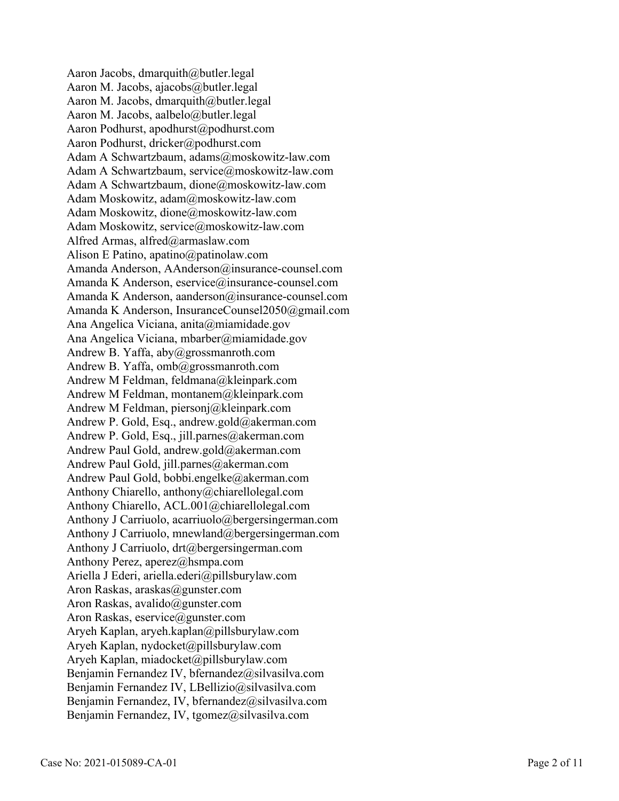Aaron Jacobs, dmarquith@butler.legal Aaron M. Jacobs, ajacobs@butler.legal Aaron M. Jacobs, dmarquith@butler.legal Aaron M. Jacobs, aalbelo@butler.legal Aaron Podhurst, apodhurst@podhurst.com Aaron Podhurst, dricker@podhurst.com Adam A Schwartzbaum, adams@moskowitz-law.com Adam A Schwartzbaum, service@moskowitz-law.com Adam A Schwartzbaum, dione@moskowitz-law.com Adam Moskowitz, adam@moskowitz-law.com Adam Moskowitz, dione@moskowitz-law.com Adam Moskowitz, service@moskowitz-law.com Alfred Armas, alfred@armaslaw.com Alison E Patino, apatino@patinolaw.com Amanda Anderson, AAnderson@insurance-counsel.com Amanda K Anderson, eservice@insurance-counsel.com Amanda K Anderson, aanderson@insurance-counsel.com Amanda K Anderson, InsuranceCounsel2050@gmail.com Ana Angelica Viciana, anita@miamidade.gov Ana Angelica Viciana, mbarber@miamidade.gov Andrew B. Yaffa, aby@grossmanroth.com Andrew B. Yaffa, omb@grossmanroth.com Andrew M Feldman, feldmana@kleinpark.com Andrew M Feldman, montanem@kleinpark.com Andrew M Feldman, piersonj@kleinpark.com Andrew P. Gold, Esq., andrew.gold@akerman.com Andrew P. Gold, Esq., jill.parnes@akerman.com Andrew Paul Gold, andrew.gold@akerman.com Andrew Paul Gold, jill.parnes@akerman.com Andrew Paul Gold, bobbi.engelke@akerman.com Anthony Chiarello, anthony@chiarellolegal.com Anthony Chiarello, ACL.001@chiarellolegal.com Anthony J Carriuolo, acarriuolo@bergersingerman.com Anthony J Carriuolo, mnewland@bergersingerman.com Anthony J Carriuolo, drt@bergersingerman.com Anthony Perez, aperez@hsmpa.com Ariella J Ederi, ariella.ederi@pillsburylaw.com Aron Raskas, araskas@gunster.com Aron Raskas, avalido@gunster.com Aron Raskas, eservice@gunster.com Aryeh Kaplan, aryeh.kaplan@pillsburylaw.com Aryeh Kaplan, nydocket@pillsburylaw.com Aryeh Kaplan, miadocket@pillsburylaw.com Benjamin Fernandez IV, bfernandez@silvasilva.com Benjamin Fernandez IV, LBellizio@silvasilva.com Benjamin Fernandez, IV, bfernandez@silvasilva.com Benjamin Fernandez, IV, tgomez@silvasilva.com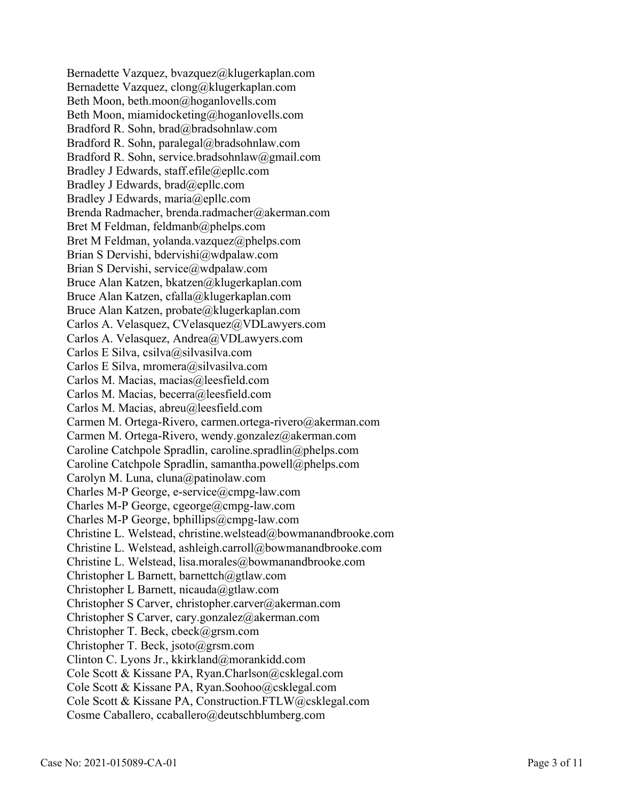Bernadette Vazquez, bvazquez@klugerkaplan.com Bernadette Vazquez, clong@klugerkaplan.com Beth Moon, beth.moon@hoganlovells.com Beth Moon, miamidocketing@hoganlovells.com Bradford R. Sohn, brad@bradsohnlaw.com Bradford R. Sohn, paralegal@bradsohnlaw.com Bradford R. Sohn, service.bradsohnlaw@gmail.com Bradley J Edwards, staff.efile@epllc.com Bradley J Edwards, brad@epllc.com Bradley J Edwards, maria@epllc.com Brenda Radmacher, brenda.radmacher@akerman.com Bret M Feldman, feldmanb@phelps.com Bret M Feldman, yolanda.vazquez@phelps.com Brian S Dervishi, bdervishi@wdpalaw.com Brian S Dervishi, service@wdpalaw.com Bruce Alan Katzen, bkatzen@klugerkaplan.com Bruce Alan Katzen, cfalla@klugerkaplan.com Bruce Alan Katzen, probate@klugerkaplan.com Carlos A. Velasquez, CVelasquez@VDLawyers.com Carlos A. Velasquez, Andrea@VDLawyers.com Carlos E Silva, csilva@silvasilva.com Carlos E Silva, mromera@silvasilva.com Carlos M. Macias, macias@leesfield.com Carlos M. Macias, becerra@leesfield.com Carlos M. Macias, abreu@leesfield.com Carmen M. Ortega-Rivero, carmen.ortega-rivero@akerman.com Carmen M. Ortega-Rivero, wendy.gonzalez@akerman.com Caroline Catchpole Spradlin, caroline.spradlin@phelps.com Caroline Catchpole Spradlin, samantha.powell@phelps.com Carolyn M. Luna, cluna@patinolaw.com Charles M-P George, e-service@cmpg-law.com Charles M-P George, cgeorge@cmpg-law.com Charles M-P George, bphillips@cmpg-law.com Christine L. Welstead, christine.welstead@bowmanandbrooke.com Christine L. Welstead, ashleigh.carroll@bowmanandbrooke.com Christine L. Welstead, lisa.morales@bowmanandbrooke.com Christopher L Barnett, barnettch@gtlaw.com Christopher L Barnett, nicauda@gtlaw.com Christopher S Carver, christopher.carver@akerman.com Christopher S Carver, cary.gonzalez@akerman.com Christopher T. Beck, cbeck@grsm.com Christopher T. Beck, jsoto@grsm.com Clinton C. Lyons Jr., kkirkland@morankidd.com Cole Scott & Kissane PA, Ryan.Charlson@csklegal.com Cole Scott & Kissane PA, Ryan.Soohoo@csklegal.com Cole Scott & Kissane PA, Construction.FTLW@csklegal.com Cosme Caballero, ccaballero@deutschblumberg.com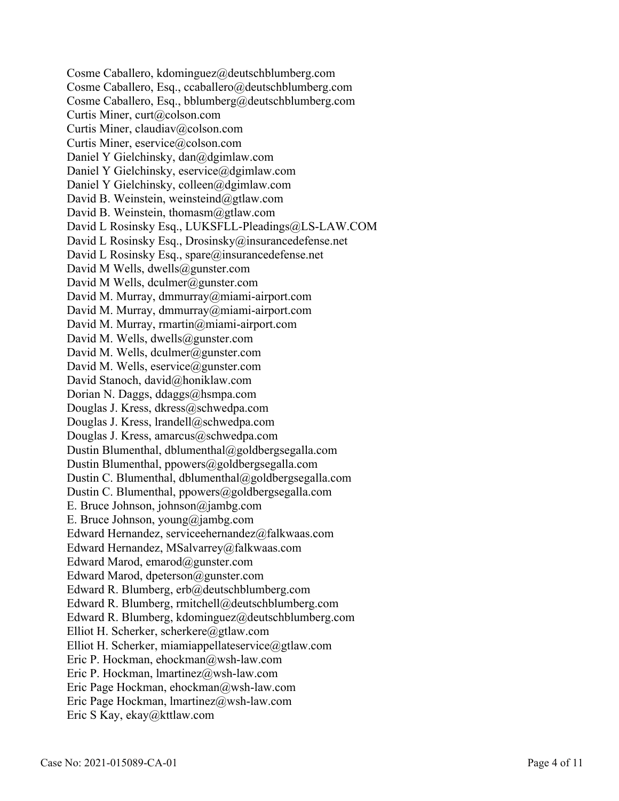Cosme Caballero, kdominguez@deutschblumberg.com Cosme Caballero, Esq., ccaballero@deutschblumberg.com Cosme Caballero, Esq., bblumberg@deutschblumberg.com Curtis Miner, curt@colson.com Curtis Miner, claudiav@colson.com Curtis Miner, eservice@colson.com Daniel Y Gielchinsky, dan@dgimlaw.com Daniel Y Gielchinsky, eservice@dgimlaw.com Daniel Y Gielchinsky, colleen@dgimlaw.com David B. Weinstein, weinsteind@gtlaw.com David B. Weinstein, thomasm@gtlaw.com David L Rosinsky Esq., LUKSFLL-Pleadings@LS-LAW.COM David L Rosinsky Esq., Drosinsky@insurancedefense.net David L Rosinsky Esq., spare@insurancedefense.net David M Wells, dwells@gunster.com David M Wells, dculmer@gunster.com David M. Murray, dmmurray@miami-airport.com David M. Murray, dmmurray@miami-airport.com David M. Murray, rmartin@miami-airport.com David M. Wells, dwells@gunster.com David M. Wells, dculmer@gunster.com David M. Wells, eservice@gunster.com David Stanoch, david@honiklaw.com Dorian N. Daggs, ddaggs@hsmpa.com Douglas J. Kress, dkress@schwedpa.com Douglas J. Kress, lrandell@schwedpa.com Douglas J. Kress, amarcus@schwedpa.com Dustin Blumenthal, dblumenthal@goldbergsegalla.com Dustin Blumenthal, ppowers@goldbergsegalla.com Dustin C. Blumenthal, dblumenthal@goldbergsegalla.com Dustin C. Blumenthal, ppowers@goldbergsegalla.com E. Bruce Johnson, johnson@jambg.com E. Bruce Johnson, young@jambg.com Edward Hernandez, serviceehernandez@falkwaas.com Edward Hernandez, MSalvarrey@falkwaas.com Edward Marod, emarod@gunster.com Edward Marod, dpeterson@gunster.com Edward R. Blumberg, erb@deutschblumberg.com Edward R. Blumberg, rmitchell@deutschblumberg.com Edward R. Blumberg, kdominguez@deutschblumberg.com Elliot H. Scherker, scherkere@gtlaw.com Elliot H. Scherker, miamiappellateservice@gtlaw.com Eric P. Hockman, ehockman@wsh-law.com Eric P. Hockman, lmartinez@wsh-law.com Eric Page Hockman, ehockman@wsh-law.com Eric Page Hockman, lmartinez@wsh-law.com Eric S Kay, ekay@kttlaw.com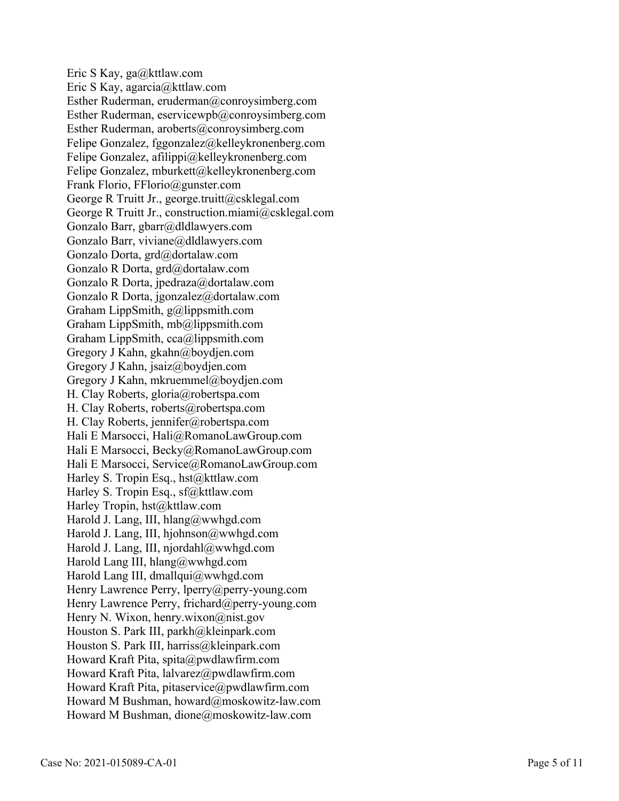Eric S Kay, ga@kttlaw.com Eric S Kay, agarcia@kttlaw.com Esther Ruderman, eruderman@conroysimberg.com Esther Ruderman, eservicewpb@conroysimberg.com Esther Ruderman, aroberts@conroysimberg.com Felipe Gonzalez, fggonzalez@kelleykronenberg.com Felipe Gonzalez, afilippi@kelleykronenberg.com Felipe Gonzalez, mburkett@kelleykronenberg.com Frank Florio, FFlorio@gunster.com George R Truitt Jr., george.truitt@csklegal.com George R Truitt Jr., construction.miami@csklegal.com Gonzalo Barr, gbarr@dldlawyers.com Gonzalo Barr, viviane@dldlawyers.com Gonzalo Dorta, grd@dortalaw.com Gonzalo R Dorta, grd@dortalaw.com Gonzalo R Dorta, jpedraza@dortalaw.com Gonzalo R Dorta, jgonzalez@dortalaw.com Graham LippSmith, g@lippsmith.com Graham LippSmith, mb@lippsmith.com Graham LippSmith, cca@lippsmith.com Gregory J Kahn, gkahn@boydjen.com Gregory J Kahn, jsaiz@boydjen.com Gregory J Kahn, mkruemmel@boydjen.com H. Clay Roberts, gloria@robertspa.com H. Clay Roberts, roberts@robertspa.com H. Clay Roberts, jennifer@robertspa.com Hali E Marsocci, Hali@RomanoLawGroup.com Hali E Marsocci, Becky@RomanoLawGroup.com Hali E Marsocci, Service@RomanoLawGroup.com Harley S. Tropin Esq., hst@kttlaw.com Harley S. Tropin Esq., sf@kttlaw.com Harley Tropin, hst@kttlaw.com Harold J. Lang, III, hlang@wwhgd.com Harold J. Lang, III, hjohnson@wwhgd.com Harold J. Lang, III, njordahl@wwhgd.com Harold Lang III, hlang@wwhgd.com Harold Lang III, dmallqui@wwhgd.com Henry Lawrence Perry, lperry@perry-young.com Henry Lawrence Perry, frichard@perry-young.com Henry N. Wixon, henry.wixon@nist.gov Houston S. Park III, parkh@kleinpark.com Houston S. Park III, harriss@kleinpark.com Howard Kraft Pita, spita@pwdlawfirm.com Howard Kraft Pita, lalvarez@pwdlawfirm.com Howard Kraft Pita, pitaservice@pwdlawfirm.com Howard M Bushman, howard@moskowitz-law.com Howard M Bushman, dione@moskowitz-law.com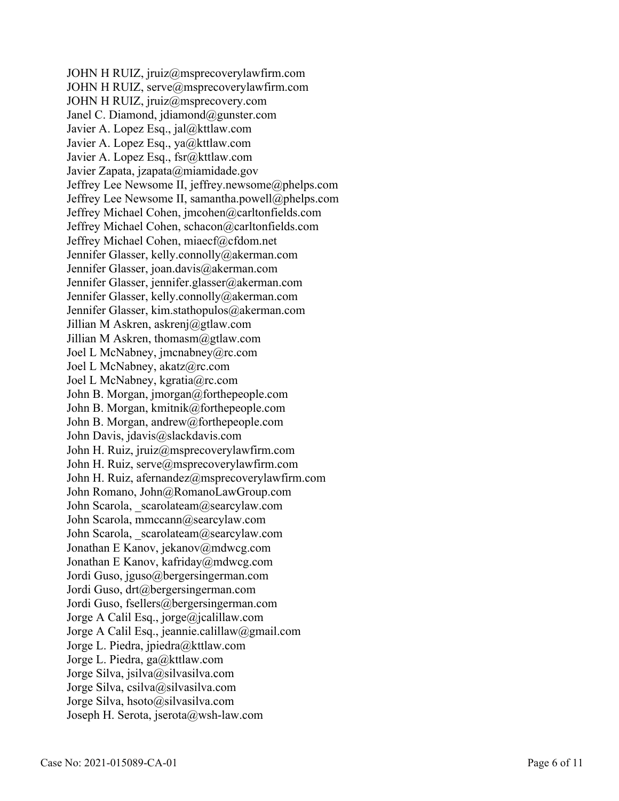JOHN H RUIZ, jruiz@msprecoverylawfirm.com JOHN H RUIZ, serve@msprecoverylawfirm.com JOHN H RUIZ, jruiz@msprecovery.com Janel C. Diamond, jdiamond@gunster.com Javier A. Lopez Esq., jal@kttlaw.com Javier A. Lopez Esq., ya@kttlaw.com Javier A. Lopez Esq., fsr@kttlaw.com Javier Zapata, jzapata@miamidade.gov Jeffrey Lee Newsome II, jeffrey.newsome@phelps.com Jeffrey Lee Newsome II, samantha.powell@phelps.com Jeffrey Michael Cohen, jmcohen@carltonfields.com Jeffrey Michael Cohen, schacon@carltonfields.com Jeffrey Michael Cohen, miaecf@cfdom.net Jennifer Glasser, kelly.connolly@akerman.com Jennifer Glasser, joan.davis@akerman.com Jennifer Glasser, jennifer.glasser@akerman.com Jennifer Glasser, kelly.connolly@akerman.com Jennifer Glasser, kim.stathopulos@akerman.com Jillian M Askren, askrenj@gtlaw.com Jillian M Askren, thomasm@gtlaw.com Joel L McNabney, jmcnabney@rc.com Joel L McNabney, akatz@rc.com Joel L McNabney, kgratia@rc.com John B. Morgan, jmorgan@forthepeople.com John B. Morgan, kmitnik@forthepeople.com John B. Morgan, andrew@forthepeople.com John Davis, jdavis@slackdavis.com John H. Ruiz, jruiz@msprecoverylawfirm.com John H. Ruiz, serve@msprecoverylawfirm.com John H. Ruiz, afernandez@msprecoverylawfirm.com John Romano, John@RomanoLawGroup.com John Scarola, scarolateam@searcylaw.com John Scarola, mmccann@searcylaw.com John Scarola, scarolateam@searcylaw.com Jonathan E Kanov, jekanov@mdwcg.com Jonathan E Kanov, kafriday@mdwcg.com Jordi Guso, jguso@bergersingerman.com Jordi Guso, drt@bergersingerman.com Jordi Guso, fsellers@bergersingerman.com Jorge A Calil Esq., jorge@jcalillaw.com Jorge A Calil Esq., jeannie.calillaw@gmail.com Jorge L. Piedra, jpiedra@kttlaw.com Jorge L. Piedra, ga@kttlaw.com Jorge Silva, jsilva@silvasilva.com Jorge Silva, csilva@silvasilva.com Jorge Silva, hsoto@silvasilva.com Joseph H. Serota, jserota@wsh-law.com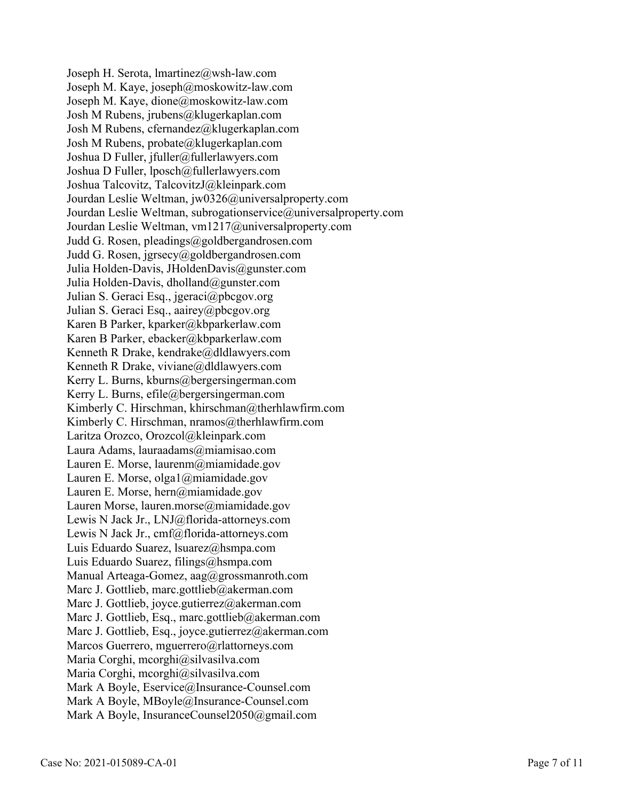Joseph H. Serota, lmartinez@wsh-law.com Joseph M. Kaye, joseph@moskowitz-law.com Joseph M. Kaye, dione@moskowitz-law.com Josh M Rubens, jrubens@klugerkaplan.com Josh M Rubens, cfernandez@klugerkaplan.com Josh M Rubens, probate@klugerkaplan.com Joshua D Fuller, jfuller@fullerlawyers.com Joshua D Fuller, lposch@fullerlawyers.com Joshua Talcovitz, TalcovitzJ@kleinpark.com Jourdan Leslie Weltman, jw0326@universalproperty.com Jourdan Leslie Weltman, subrogationservice@universalproperty.com Jourdan Leslie Weltman, vm1217@universalproperty.com Judd G. Rosen, pleadings@goldbergandrosen.com Judd G. Rosen, jgrsecy@goldbergandrosen.com Julia Holden-Davis, JHoldenDavis@gunster.com Julia Holden-Davis, dholland@gunster.com Julian S. Geraci Esq., jgeraci@pbcgov.org Julian S. Geraci Esq., aairey@pbcgov.org Karen B Parker, kparker@kbparkerlaw.com Karen B Parker, ebacker@kbparkerlaw.com Kenneth R Drake, kendrake@dldlawyers.com Kenneth R Drake, viviane@dldlawyers.com Kerry L. Burns, kburns@bergersingerman.com Kerry L. Burns, efile@bergersingerman.com Kimberly C. Hirschman, khirschman@therhlawfirm.com Kimberly C. Hirschman, nramos@therhlawfirm.com Laritza Orozco, Orozcol@kleinpark.com Laura Adams, lauraadams@miamisao.com Lauren E. Morse, laurenm@miamidade.gov Lauren E. Morse, olga1@miamidade.gov Lauren E. Morse, hern@miamidade.gov Lauren Morse, lauren.morse@miamidade.gov Lewis N Jack Jr., LNJ@florida-attorneys.com Lewis N Jack Jr., cmf@florida-attorneys.com Luis Eduardo Suarez, lsuarez@hsmpa.com Luis Eduardo Suarez, filings@hsmpa.com Manual Arteaga-Gomez, aag@grossmanroth.com Marc J. Gottlieb, marc.gottlieb@akerman.com Marc J. Gottlieb, joyce.gutierrez@akerman.com Marc J. Gottlieb, Esq., marc.gottlieb@akerman.com Marc J. Gottlieb, Esq., joyce.gutierrez@akerman.com Marcos Guerrero, mguerrero@rlattorneys.com Maria Corghi, mcorghi@silvasilva.com Maria Corghi, mcorghi@silvasilva.com Mark A Boyle, Eservice@Insurance-Counsel.com Mark A Boyle, MBoyle@Insurance-Counsel.com Mark A Boyle, InsuranceCounsel2050@gmail.com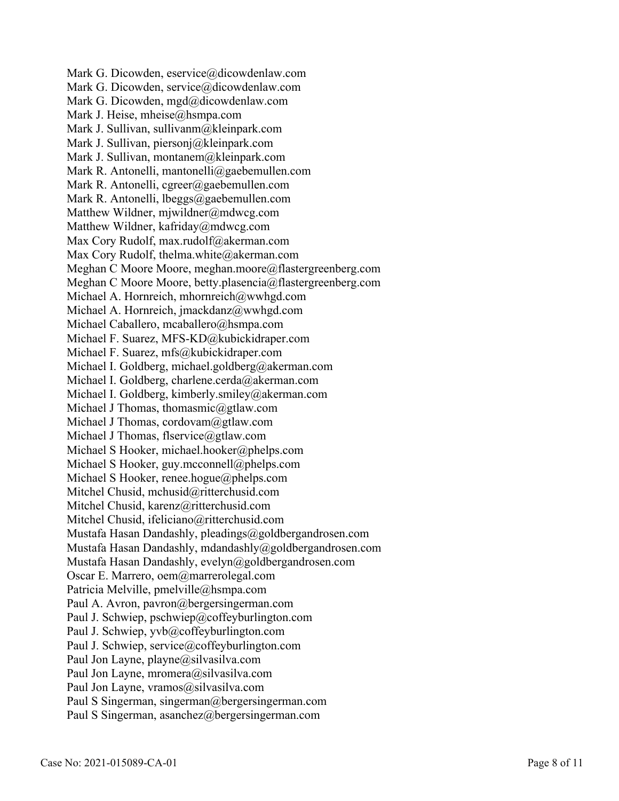Mark G. Dicowden, eservice@dicowdenlaw.com Mark G. Dicowden, service@dicowdenlaw.com Mark G. Dicowden, mgd@dicowdenlaw.com Mark J. Heise, mheise@hsmpa.com Mark J. Sullivan, sullivanm@kleinpark.com Mark J. Sullivan, piersonj@kleinpark.com Mark J. Sullivan, montanem@kleinpark.com Mark R. Antonelli, mantonelli@gaebemullen.com Mark R. Antonelli, cgreer@gaebemullen.com Mark R. Antonelli, lbeggs@gaebemullen.com Matthew Wildner, mjwildner@mdwcg.com Matthew Wildner, kafriday@mdwcg.com Max Cory Rudolf, max.rudolf@akerman.com Max Cory Rudolf, thelma.white@akerman.com Meghan C Moore Moore, meghan.moore@flastergreenberg.com Meghan C Moore Moore, betty.plasencia@flastergreenberg.com Michael A. Hornreich, mhornreich@wwhgd.com Michael A. Hornreich, jmackdanz@wwhgd.com Michael Caballero, mcaballero@hsmpa.com Michael F. Suarez, MFS-KD@kubickidraper.com Michael F. Suarez, mfs@kubickidraper.com Michael I. Goldberg, michael.goldberg@akerman.com Michael I. Goldberg, charlene.cerda@akerman.com Michael I. Goldberg, kimberly.smiley@akerman.com Michael J Thomas, thomasmic@gtlaw.com Michael J Thomas, cordovam@gtlaw.com Michael J Thomas, flservice@gtlaw.com Michael S Hooker, michael.hooker@phelps.com Michael S Hooker, guy.mcconnell@phelps.com Michael S Hooker, renee.hogue@phelps.com Mitchel Chusid, mchusid@ritterchusid.com Mitchel Chusid, karenz@ritterchusid.com Mitchel Chusid, ifeliciano@ritterchusid.com Mustafa Hasan Dandashly, pleadings@goldbergandrosen.com Mustafa Hasan Dandashly, mdandashly@goldbergandrosen.com Mustafa Hasan Dandashly, evelyn@goldbergandrosen.com Oscar E. Marrero, oem@marrerolegal.com Patricia Melville, pmelville@hsmpa.com Paul A. Avron, pavron@bergersingerman.com Paul J. Schwiep, pschwiep@coffeyburlington.com Paul J. Schwiep, yvb@coffeyburlington.com Paul J. Schwiep, service@coffeyburlington.com Paul Jon Layne, playne@silvasilva.com Paul Jon Layne, mromera@silvasilva.com Paul Jon Layne, vramos@silvasilva.com Paul S Singerman, singerman@bergersingerman.com Paul S Singerman, asanchez@bergersingerman.com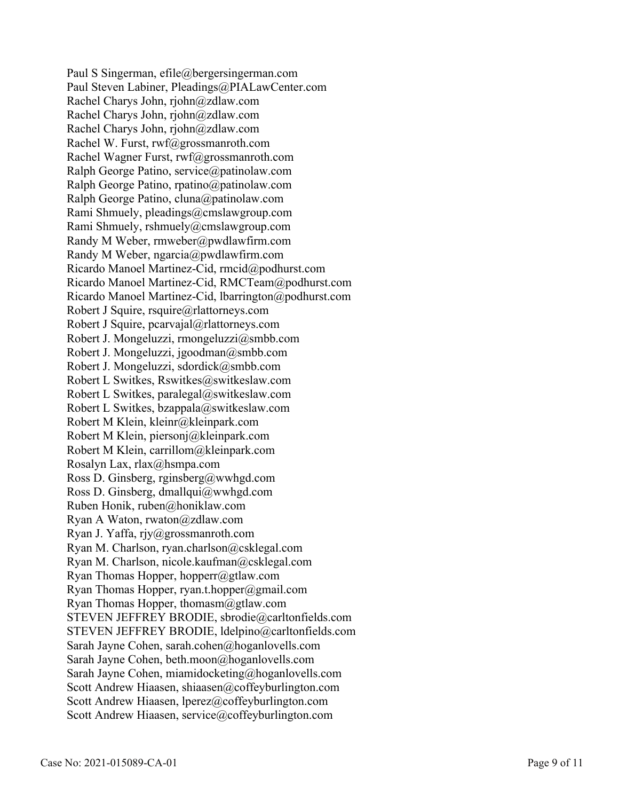Paul S Singerman, efile@bergersingerman.com Paul Steven Labiner, Pleadings@PIALawCenter.com Rachel Charys John, rjohn@zdlaw.com Rachel Charys John, rjohn@zdlaw.com Rachel Charys John, rjohn@zdlaw.com Rachel W. Furst, rwf@grossmanroth.com Rachel Wagner Furst, rwf@grossmanroth.com Ralph George Patino, service@patinolaw.com Ralph George Patino, rpatino@patinolaw.com Ralph George Patino, cluna@patinolaw.com Rami Shmuely, pleadings@cmslawgroup.com Rami Shmuely, rshmuely@cmslawgroup.com Randy M Weber, rmweber@pwdlawfirm.com Randy M Weber, ngarcia@pwdlawfirm.com Ricardo Manoel Martinez-Cid, rmcid@podhurst.com Ricardo Manoel Martinez-Cid, RMCTeam@podhurst.com Ricardo Manoel Martinez-Cid, lbarrington@podhurst.com Robert J Squire, rsquire@rlattorneys.com Robert J Squire, pcarvajal@rlattorneys.com Robert J. Mongeluzzi, rmongeluzzi@smbb.com Robert J. Mongeluzzi, jgoodman@smbb.com Robert J. Mongeluzzi, sdordick@smbb.com Robert L Switkes, Rswitkes@switkeslaw.com Robert L Switkes, paralegal@switkeslaw.com Robert L Switkes, bzappala@switkeslaw.com Robert M Klein, kleinr@kleinpark.com Robert M Klein, piersonj@kleinpark.com Robert M Klein, carrillom@kleinpark.com Rosalyn Lax, rlax@hsmpa.com Ross D. Ginsberg, rginsberg@wwhgd.com Ross D. Ginsberg, dmallqui@wwhgd.com Ruben Honik, ruben@honiklaw.com Ryan A Waton, rwaton@zdlaw.com Ryan J. Yaffa, rjy@grossmanroth.com Ryan M. Charlson, ryan.charlson@csklegal.com Ryan M. Charlson, nicole.kaufman@csklegal.com Ryan Thomas Hopper, hopperr@gtlaw.com Ryan Thomas Hopper, ryan.t.hopper@gmail.com Ryan Thomas Hopper, thomasm@gtlaw.com STEVEN JEFFREY BRODIE, sbrodie@carltonfields.com STEVEN JEFFREY BRODIE, ldelpino@carltonfields.com Sarah Jayne Cohen, sarah.cohen@hoganlovells.com Sarah Jayne Cohen, beth.moon@hoganlovells.com Sarah Jayne Cohen, miamidocketing@hoganlovells.com Scott Andrew Hiaasen, shiaasen@coffeyburlington.com Scott Andrew Hiaasen, lperez@coffeyburlington.com Scott Andrew Hiaasen, service@coffeyburlington.com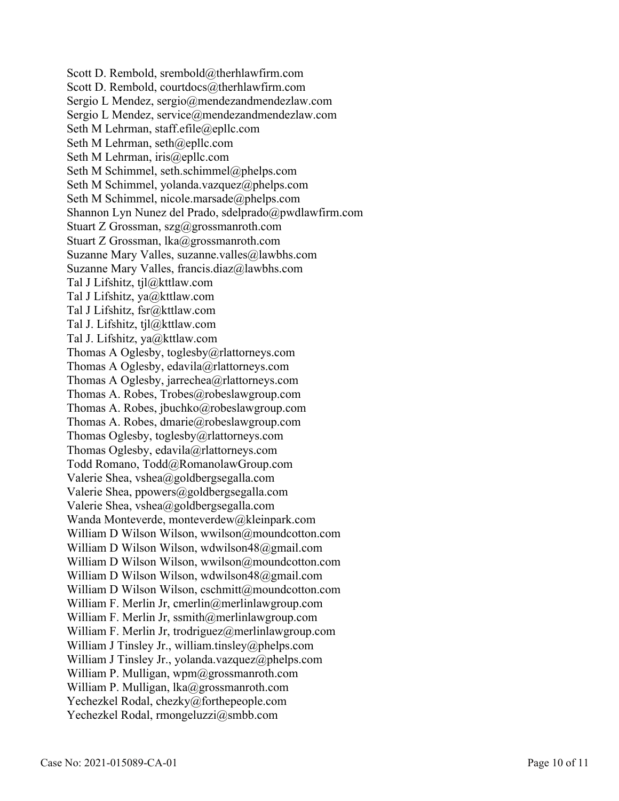Scott D. Rembold, srembold@therhlawfirm.com Scott D. Rembold, courtdocs@therhlawfirm.com Sergio L Mendez, sergio@mendezandmendezlaw.com Sergio L Mendez, service@mendezandmendezlaw.com Seth M Lehrman, staff.efile@epllc.com Seth M Lehrman, seth@epllc.com Seth M Lehrman, iris@epllc.com Seth M Schimmel, seth.schimmel@phelps.com Seth M Schimmel, yolanda.vazquez@phelps.com Seth M Schimmel, nicole.marsade@phelps.com Shannon Lyn Nunez del Prado, sdelprado@pwdlawfirm.com Stuart Z Grossman, szg@grossmanroth.com Stuart Z Grossman, lka@grossmanroth.com Suzanne Mary Valles, suzanne.valles@lawbhs.com Suzanne Mary Valles, francis.diaz@lawbhs.com Tal J Lifshitz, tjl@kttlaw.com Tal J Lifshitz, ya@kttlaw.com Tal J Lifshitz, fsr@kttlaw.com Tal J. Lifshitz, tjl@kttlaw.com Tal J. Lifshitz, ya@kttlaw.com Thomas A Oglesby, toglesby@rlattorneys.com Thomas A Oglesby, edavila@rlattorneys.com Thomas A Oglesby, jarrechea@rlattorneys.com Thomas A. Robes, Trobes@robeslawgroup.com Thomas A. Robes, jbuchko@robeslawgroup.com Thomas A. Robes, dmarie@robeslawgroup.com Thomas Oglesby, toglesby@rlattorneys.com Thomas Oglesby, edavila@rlattorneys.com Todd Romano, Todd@RomanolawGroup.com Valerie Shea, vshea@goldbergsegalla.com Valerie Shea, ppowers@goldbergsegalla.com Valerie Shea, vshea@goldbergsegalla.com Wanda Monteverde, monteverdew@kleinpark.com William D Wilson Wilson, wwilson@moundcotton.com William D Wilson Wilson, wdwilson48@gmail.com William D Wilson Wilson, wwilson@moundcotton.com William D Wilson Wilson, wdwilson48@gmail.com William D Wilson Wilson, cschmitt@moundcotton.com William F. Merlin Jr, cmerlin@merlinlawgroup.com William F. Merlin Jr, ssmith@merlinlawgroup.com William F. Merlin Jr, trodriguez@merlinlawgroup.com William J Tinsley Jr., william.tinsley@phelps.com William J Tinsley Jr., yolanda.vazquez@phelps.com William P. Mulligan, wpm@grossmanroth.com William P. Mulligan, lka@grossmanroth.com Yechezkel Rodal, chezky@forthepeople.com Yechezkel Rodal, rmongeluzzi@smbb.com